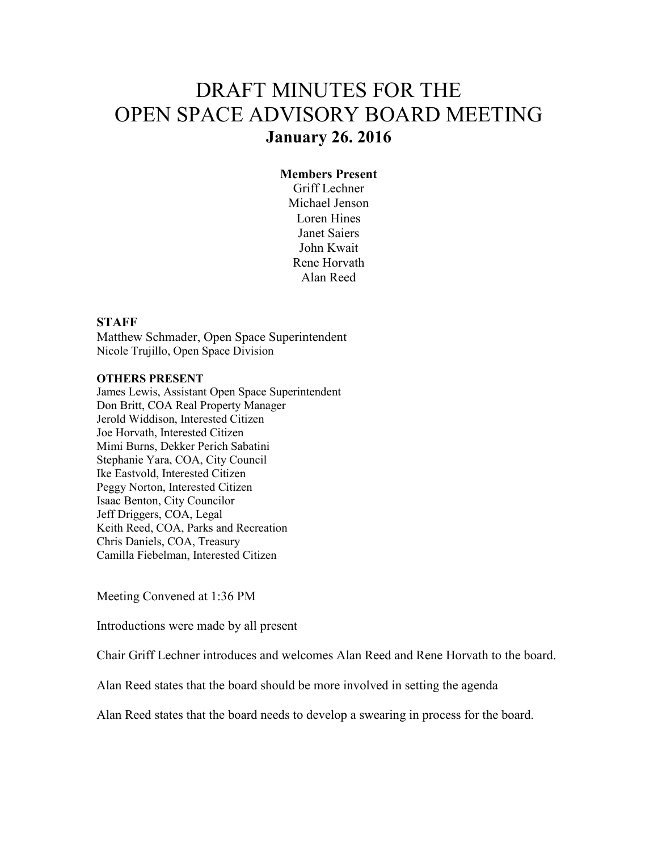# DRAFT MINUTES FOR THE OPEN SPACE ADVISORY BOARD MEETING **January 26. 2016**

#### **Members Present**

Griff Lechner Michael Jenson Loren Hines Janet Saiers John Kwait Rene Horvath Alan Reed

#### **STAFF**

Matthew Schmader, Open Space Superintendent Nicole Trujillo, Open Space Division

#### **OTHERS PRESENT**

James Lewis, Assistant Open Space Superintendent Don Britt, COA Real Property Manager Jerold Widdison, Interested Citizen Joe Horvath, Interested Citizen Mimi Burns, Dekker Perich Sabatini Stephanie Yara, COA, City Council Ike Eastvold, Interested Citizen Peggy Norton, Interested Citizen Isaac Benton, City Councilor Jeff Driggers, COA, Legal Keith Reed, COA, Parks and Recreation Chris Daniels, COA, Treasury Camilla Fiebelman, Interested Citizen

Meeting Convened at 1:36 PM

Introductions were made by all present

Chair Griff Lechner introduces and welcomes Alan Reed and Rene Horvath to the board.

Alan Reed states that the board should be more involved in setting the agenda

Alan Reed states that the board needs to develop a swearing in process for the board.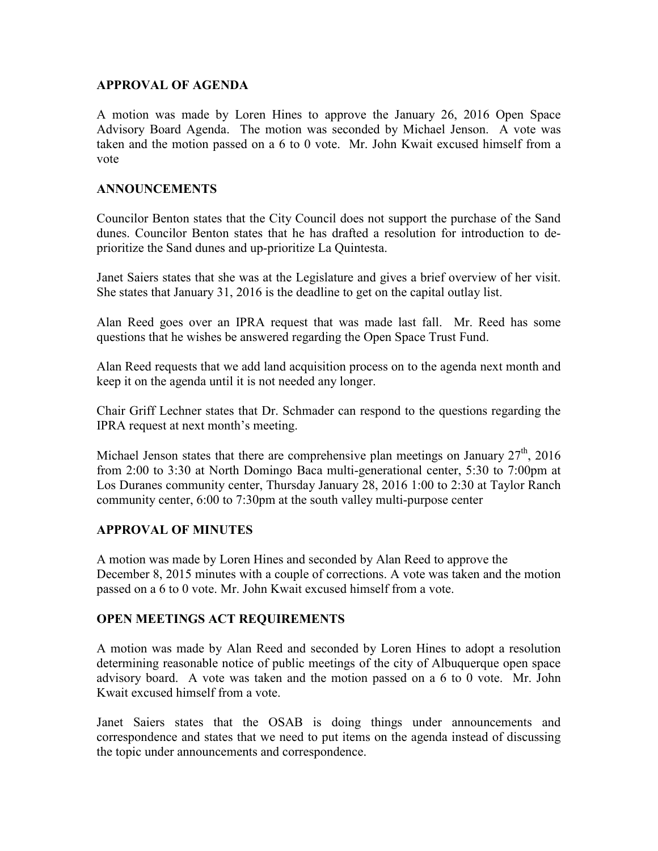## **APPROVAL OF AGENDA**

A motion was made by Loren Hines to approve the January 26, 2016 Open Space Advisory Board Agenda. The motion was seconded by Michael Jenson. A vote was taken and the motion passed on a 6 to 0 vote. Mr. John Kwait excused himself from a vote

## **ANNOUNCEMENTS**

Councilor Benton states that the City Council does not support the purchase of the Sand dunes. Councilor Benton states that he has drafted a resolution for introduction to deprioritize the Sand dunes and up-prioritize La Quintesta.

Janet Saiers states that she was at the Legislature and gives a brief overview of her visit. She states that January 31, 2016 is the deadline to get on the capital outlay list.

Alan Reed goes over an IPRA request that was made last fall. Mr. Reed has some questions that he wishes be answered regarding the Open Space Trust Fund.

Alan Reed requests that we add land acquisition process on to the agenda next month and keep it on the agenda until it is not needed any longer.

Chair Griff Lechner states that Dr. Schmader can respond to the questions regarding the IPRA request at next month's meeting.

Michael Jenson states that there are comprehensive plan meetings on January  $27<sup>th</sup>$ , 2016 from 2:00 to 3:30 at North Domingo Baca multi-generational center, 5:30 to 7:00pm at Los Duranes community center, Thursday January 28, 2016 1:00 to 2:30 at Taylor Ranch community center, 6:00 to 7:30pm at the south valley multi-purpose center

## **APPROVAL OF MINUTES**

A motion was made by Loren Hines and seconded by Alan Reed to approve the December 8, 2015 minutes with a couple of corrections. A vote was taken and the motion passed on a 6 to 0 vote. Mr. John Kwait excused himself from a vote.

#### **OPEN MEETINGS ACT REQUIREMENTS**

A motion was made by Alan Reed and seconded by Loren Hines to adopt a resolution determining reasonable notice of public meetings of the city of Albuquerque open space advisory board. A vote was taken and the motion passed on a 6 to 0 vote. Mr. John Kwait excused himself from a vote.

Janet Saiers states that the OSAB is doing things under announcements and correspondence and states that we need to put items on the agenda instead of discussing the topic under announcements and correspondence.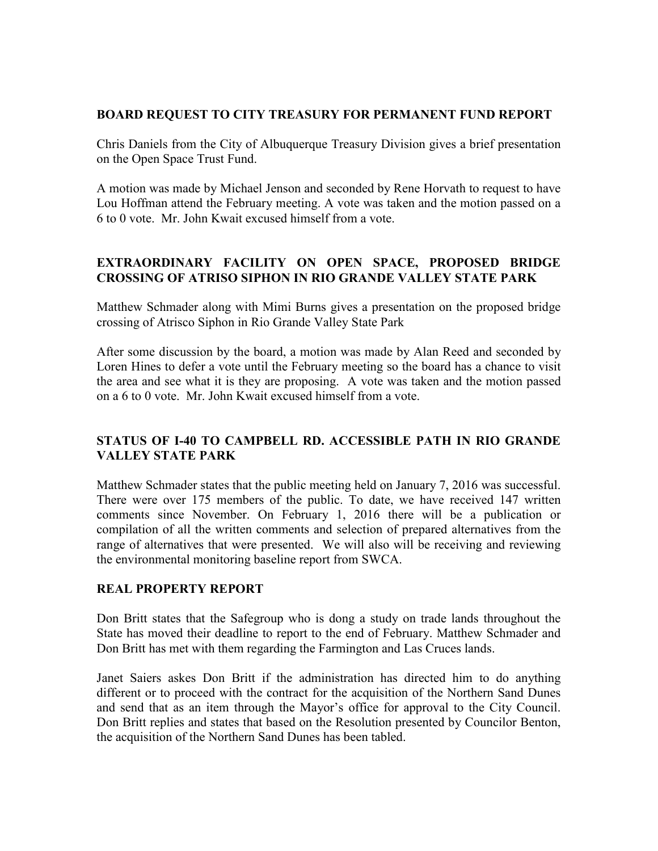## **BOARD REQUEST TO CITY TREASURY FOR PERMANENT FUND REPORT**

Chris Daniels from the City of Albuquerque Treasury Division gives a brief presentation on the Open Space Trust Fund.

A motion was made by Michael Jenson and seconded by Rene Horvath to request to have Lou Hoffman attend the February meeting. A vote was taken and the motion passed on a 6 to 0 vote. Mr. John Kwait excused himself from a vote.

## **EXTRAORDINARY FACILITY ON OPEN SPACE, PROPOSED BRIDGE CROSSING OF ATRISO SIPHON IN RIO GRANDE VALLEY STATE PARK**

Matthew Schmader along with Mimi Burns gives a presentation on the proposed bridge crossing of Atrisco Siphon in Rio Grande Valley State Park

After some discussion by the board, a motion was made by Alan Reed and seconded by Loren Hines to defer a vote until the February meeting so the board has a chance to visit the area and see what it is they are proposing. A vote was taken and the motion passed on a 6 to 0 vote. Mr. John Kwait excused himself from a vote.

# **STATUS OF I-40 TO CAMPBELL RD. ACCESSIBLE PATH IN RIO GRANDE VALLEY STATE PARK**

Matthew Schmader states that the public meeting held on January 7, 2016 was successful. There were over 175 members of the public. To date, we have received 147 written comments since November. On February 1, 2016 there will be a publication or compilation of all the written comments and selection of prepared alternatives from the range of alternatives that were presented. We will also will be receiving and reviewing the environmental monitoring baseline report from SWCA.

#### **REAL PROPERTY REPORT**

Don Britt states that the Safegroup who is dong a study on trade lands throughout the State has moved their deadline to report to the end of February. Matthew Schmader and Don Britt has met with them regarding the Farmington and Las Cruces lands.

Janet Saiers askes Don Britt if the administration has directed him to do anything different or to proceed with the contract for the acquisition of the Northern Sand Dunes and send that as an item through the Mayor's office for approval to the City Council. Don Britt replies and states that based on the Resolution presented by Councilor Benton, the acquisition of the Northern Sand Dunes has been tabled.